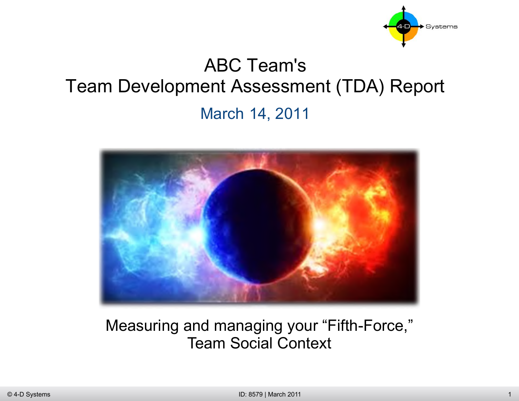

## ABC Team's Team Development Assessment (TDA) Report March 14, 2011



#### Measuring and managing your "Fifth-Force," Team Social Context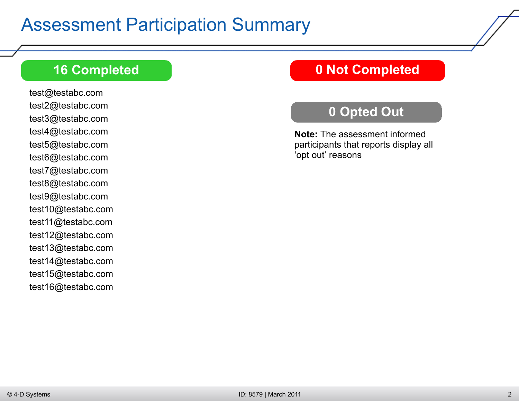#### **16 Completed**

test@testabc.com test2@testabc.com test3@testabc.com test4@testabc.com test5@testabc.com test6@testabc.com test7@testabc.com test8@testabc.com test9@testabc.com test10@testabc.com test11@testabc.com test12@testabc.com test13@testabc.com test14@testabc.com test15@testabc.com test16@testabc.com

#### **0 Not Completed**

#### **0 Opted Out**

**Note:** The assessment informed participants that reports display all 'opt out' reasons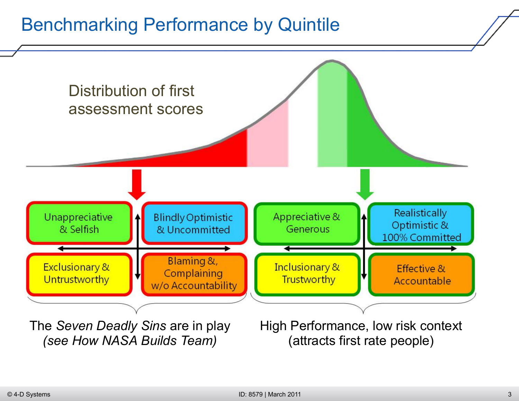### Benchmarking Performance by Quintile

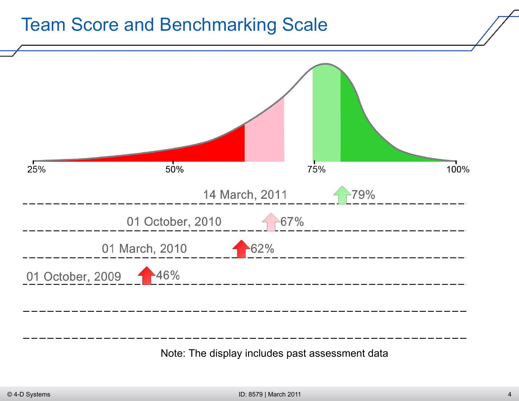#### Team Score and Benchmarking Scale



Note: The display includes past assessment data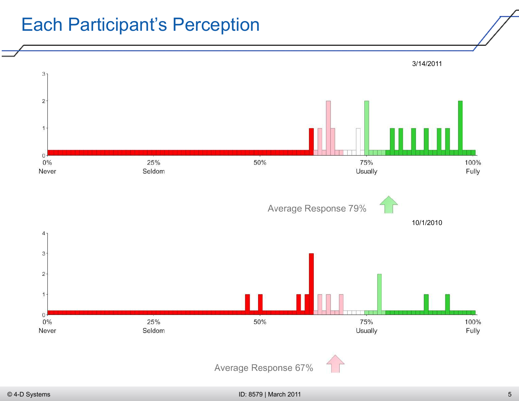#### Each Participant's Perception

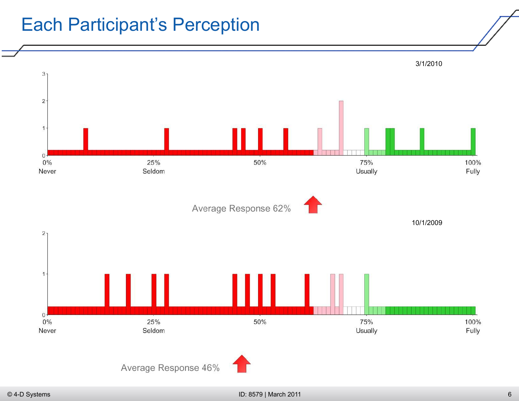#### Each Participant's Perception

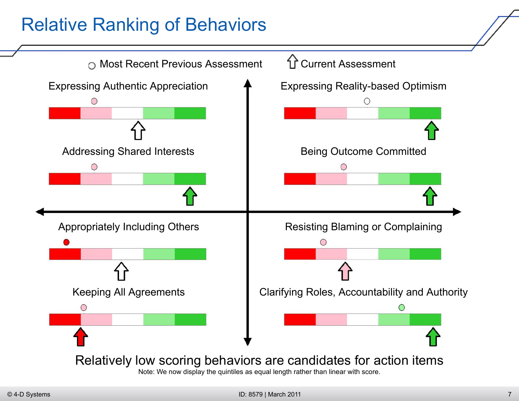### Relative Ranking of Behaviors

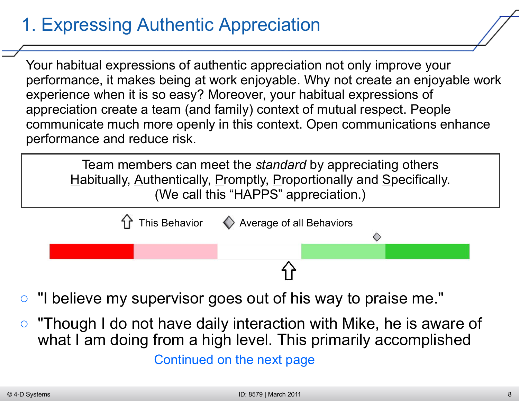## 1. Expressing Authentic Appreciation

Your habitual expressions of authentic appreciation not only improve your performance, it makes being at work enjoyable. Why not create an enjoyable work experience when it is so easy? Moreover, your habitual expressions of appreciation create a team (and family) context of mutual respect. People communicate much more openly in this context. Open communications enhance performance and reduce risk.

Team members can meet the *standard* by appreciating others Habitually, Authentically, Promptly, Proportionally and Specifically. (We call this "HAPPS" appreciation.)



- *"I believe my supervisor goes out of his way to praise me."*
- *"Though I do not have daily interaction with Mike, he is aware of what I am doing from a high level. This primarily accomplished*

Continued on the next page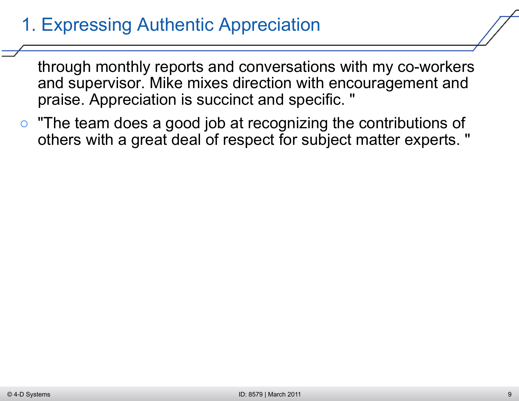## 1. Expressing Authentic Appreciation

*through monthly reports and conversations with my co-workers and supervisor. Mike mixes direction with encouragement and praise. Appreciation is succinct and specific. "*

○ *"The team does a good job at recognizing the contributions of others with a great deal of respect for subject matter experts. "*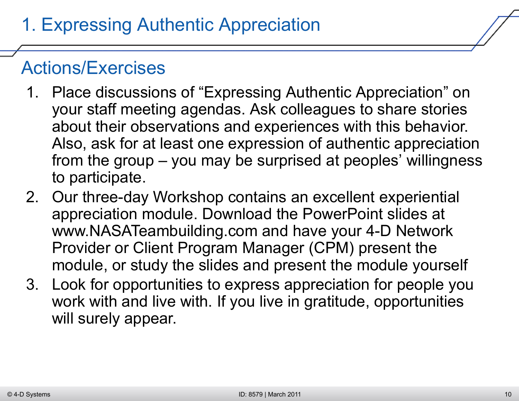- 1. Place discussions of "Expressing Authentic Appreciation" on your staff meeting agendas. Ask colleagues to share stories about their observations and experiences with this behavior. Also, ask for at least one expression of authentic appreciation from the group – you may be surprised at peoples' willingness to participate.
- 2. Our three-day Workshop contains an excellent experiential appreciation module. Download the PowerPoint slides at www.NASATeambuilding.com and have your 4-D Network Provider or Client Program Manager (CPM) present the module, or study the slides and present the module yourself
- 3. Look for opportunities to express appreciation for people you work with and live with. If you live in gratitude, opportunities will surely appear.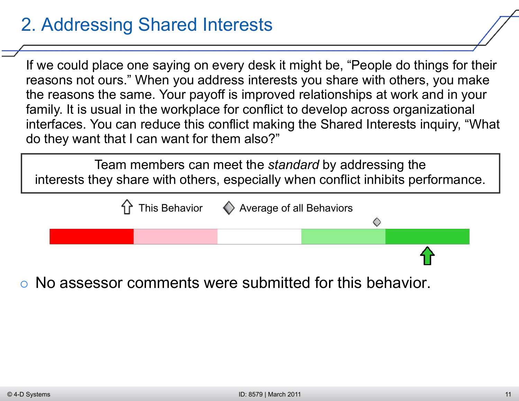## 2. Addressing Shared Interests

If we could place one saying on every desk it might be, "People do things for their reasons not ours." When you address interests you share with others, you make the reasons the same. Your payoff is improved relationships at work and in your family. It is usual in the workplace for conflict to develop across organizational interfaces. You can reduce this conflict making the Shared Interests inquiry, "What do they want that I can want for them also?"

Team members can meet the *standard* by addressing the interests they share with others, especially when conflict inhibits performance.



○ No assessor comments were submitted for this behavior.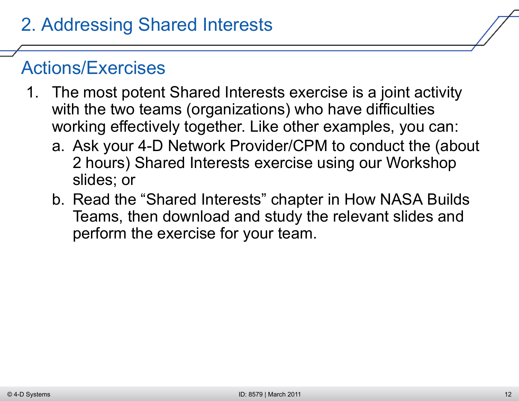- 1. The most potent Shared Interests exercise is a joint activity with the two teams (organizations) who have difficulties working effectively together. Like other examples, you can:
	- a. Ask your 4-D Network Provider/CPM to conduct the (about 2 hours) Shared Interests exercise using our Workshop slides; or
	- b. Read the "Shared Interests" chapter in How NASA Builds Teams, then download and study the relevant slides and perform the exercise for your team.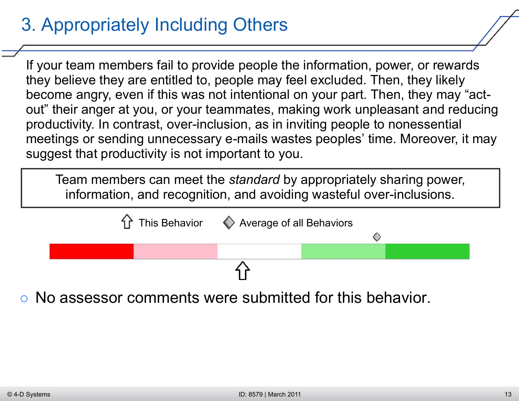## 3. Appropriately Including Others

If your team members fail to provide people the information, power, or rewards they believe they are entitled to, people may feel excluded. Then, they likely become angry, even if this was not intentional on your part. Then, they may "actout" their anger at you, or your teammates, making work unpleasant and reducing productivity. In contrast, over-inclusion, as in inviting people to nonessential meetings or sending unnecessary e-mails wastes peoples' time. Moreover, it may suggest that productivity is not important to you.

Team members can meet the *standard* by appropriately sharing power, information, and recognition, and avoiding wasteful over-inclusions.



○ No assessor comments were submitted for this behavior.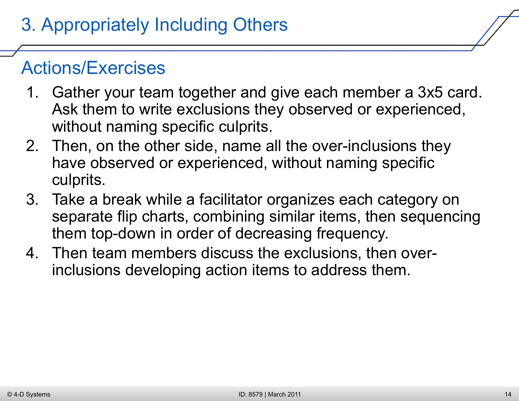- 1. Gather your team together and give each member a 3x5 card. Ask them to write exclusions they observed or experienced, without naming specific culprits.
- 2. Then, on the other side, name all the over-inclusions they have observed or experienced, without naming specific culprits.
- 3. Take a break while a facilitator organizes each category on separate flip charts, combining similar items, then sequencing them top-down in order of decreasing frequency.
- 4. Then team members discuss the exclusions, then overinclusions developing action items to address them.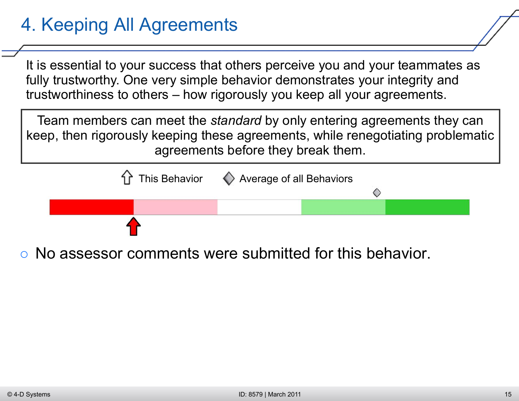# 4. Keeping All Agreements

It is essential to your success that others perceive you and your teammates as fully trustworthy. One very simple behavior demonstrates your integrity and trustworthiness to others – how rigorously you keep all your agreements.

Team members can meet the *standard* by only entering agreements they can keep, then rigorously keeping these agreements, while renegotiating problematic agreements before they break them.



No assessor comments were submitted for this behavior.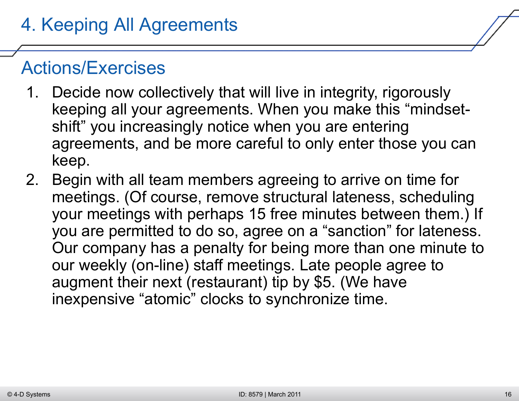- 1. Decide now collectively that will live in integrity, rigorously keeping all your agreements. When you make this "mindsetshift" you increasingly notice when you are entering agreements, and be more careful to only enter those you can keep.
- 2. Begin with all team members agreeing to arrive on time for meetings. (Of course, remove structural lateness, scheduling your meetings with perhaps 15 free minutes between them.) If you are permitted to do so, agree on a "sanction" for lateness. Our company has a penalty for being more than one minute to our weekly (on-line) staff meetings. Late people agree to augment their next (restaurant) tip by \$5. (We have inexpensive "atomic" clocks to synchronize time.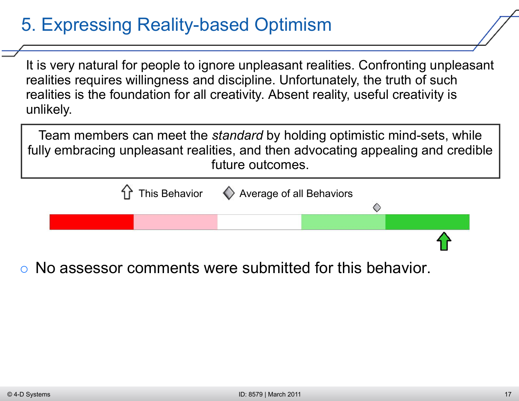## 5. Expressing Reality-based Optimism

It is very natural for people to ignore unpleasant realities. Confronting unpleasant realities requires willingness and discipline. Unfortunately, the truth of such realities is the foundation for all creativity. Absent reality, useful creativity is unlikely.

Team members can meet the *standard* by holding optimistic mind-sets, while fully embracing unpleasant realities, and then advocating appealing and credible future outcomes.



○ No assessor comments were submitted for this behavior.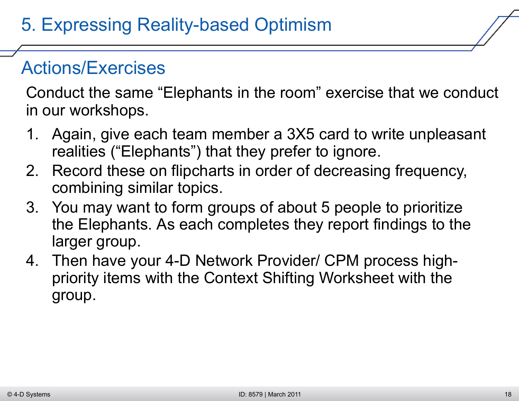Conduct the same "Elephants in the room" exercise that we conduct in our workshops.

- 1. Again, give each team member a 3X5 card to write unpleasant realities ("Elephants") that they prefer to ignore.
- 2. Record these on flipcharts in order of decreasing frequency, combining similar topics.
- 3. You may want to form groups of about 5 people to prioritize the Elephants. As each completes they report findings to the larger group.
- 4. Then have your 4-D Network Provider/ CPM process highpriority items with the Context Shifting Worksheet with the group.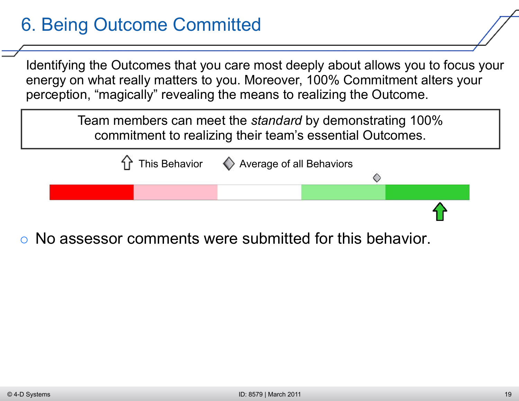## 6. Being Outcome Committed

Identifying the Outcomes that you care most deeply about allows you to focus your energy on what really matters to you. Moreover, 100% Commitment alters your perception, "magically" revealing the means to realizing the Outcome.

> Team members can meet the *standard* by demonstrating 100% commitment to realizing their team's essential Outcomes.



○ No assessor comments were submitted for this behavior.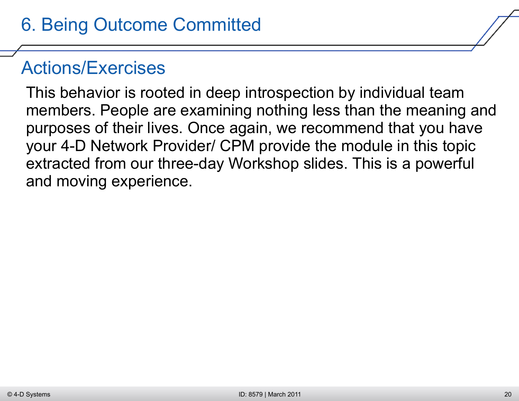This behavior is rooted in deep introspection by individual team members. People are examining nothing less than the meaning and purposes of their lives. Once again, we recommend that you have your 4-D Network Provider/ CPM provide the module in this topic extracted from our three-day Workshop slides. This is a powerful and moving experience.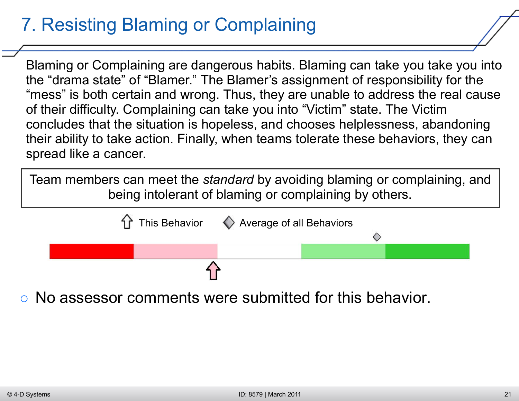## 7. Resisting Blaming or Complaining

Blaming or Complaining are dangerous habits. Blaming can take you take you into the "drama state" of "Blamer." The Blamer's assignment of responsibility for the "mess" is both certain and wrong. Thus, they are unable to address the real cause of their difficulty. Complaining can take you into "Victim" state. The Victim concludes that the situation is hopeless, and chooses helplessness, abandoning their ability to take action. Finally, when teams tolerate these behaviors, they can spread like a cancer.

Team members can meet the *standard* by avoiding blaming or complaining, and being intolerant of blaming or complaining by others.



○ No assessor comments were submitted for this behavior.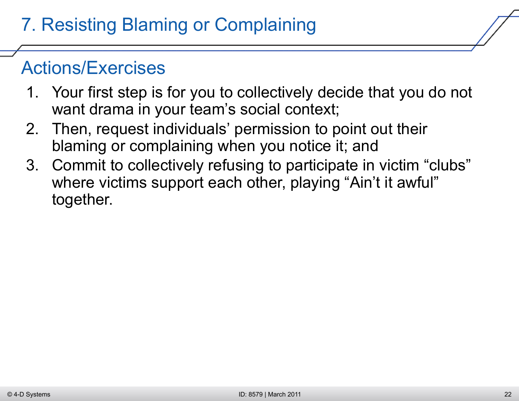- 1. Your first step is for you to collectively decide that you do not want drama in your team's social context;
- 2. Then, request individuals' permission to point out their blaming or complaining when you notice it; and
- 3. Commit to collectively refusing to participate in victim "clubs" where victims support each other, playing "Ain't it awful" together.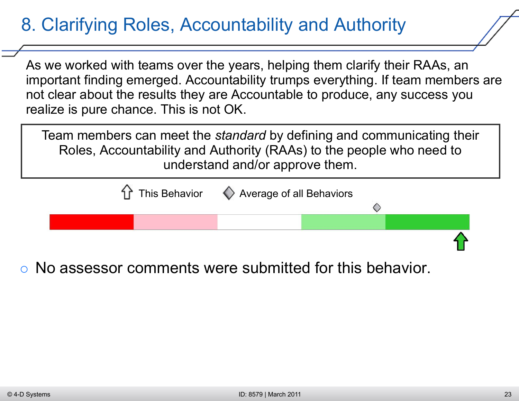## 8. Clarifying Roles, Accountability and Authority

As we worked with teams over the years, helping them clarify their RAAs, an important finding emerged. Accountability trumps everything. If team members are not clear about the results they are Accountable to produce, any success you realize is pure chance. This is not OK.

Team members can meet the *standard* by defining and communicating their Roles, Accountability and Authority (RAAs) to the people who need to understand and/or approve them.



○ No assessor comments were submitted for this behavior.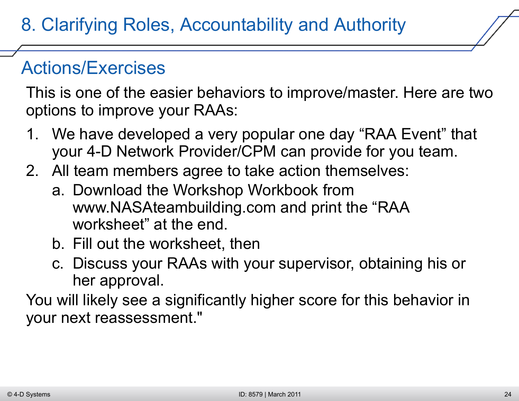This is one of the easier behaviors to improve/master. Here are two options to improve your RAAs:

- 1. We have developed a very popular one day "RAA Event" that your 4-D Network Provider/CPM can provide for you team.
- 2. All team members agree to take action themselves:
	- a. Download the Workshop Workbook from www.NASAteambuilding.com and print the "RAA worksheet" at the end.
	- b. Fill out the worksheet, then
	- c. Discuss your RAAs with your supervisor, obtaining his or her approval.

You will likely see a significantly higher score for this behavior in your next reassessment."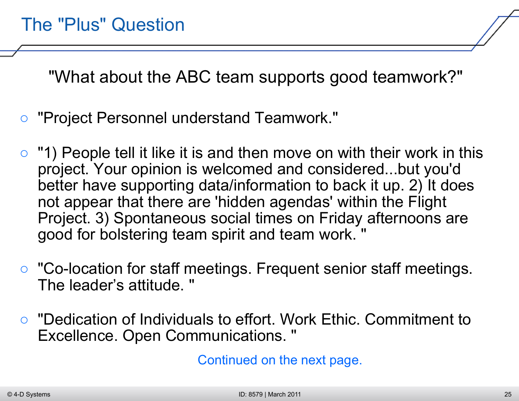"What about the ABC team supports good teamwork?"

- *"Project Personnel understand Teamwork."*
- *"1) People tell it like it is and then move on with their work in this project. Your opinion is welcomed and considered...but you'd better have supporting data/information to back it up. 2) It does not appear that there are 'hidden agendas' within the Flight Project. 3) Spontaneous social times on Friday afternoons are good for bolstering team spirit and team work. "*
- *"Co-location for staff meetings. Frequent senior staff meetings. The leader's attitude. "*
- *"Dedication of Individuals to effort. Work Ethic. Commitment to Excellence. Open Communications. "*

Continued on the next page.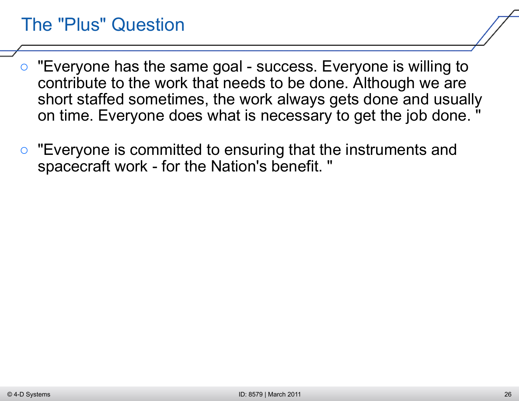#### The "Plus" Question

- *"Everyone has the same goal success. Everyone is willing to contribute to the work that needs to be done. Although we are short staffed sometimes, the work always gets done and usually on time. Everyone does what is necessary to get the job done. "*
- *"Everyone is committed to ensuring that the instruments and spacecraft work - for the Nation's benefit. "*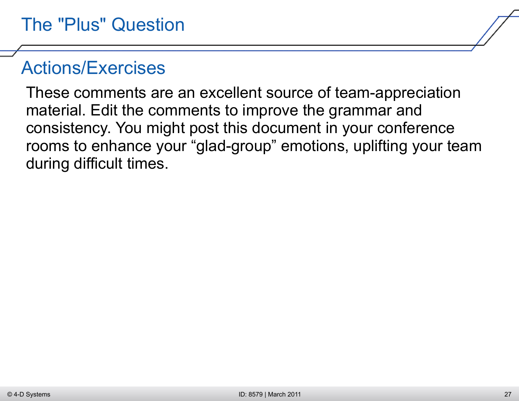These comments are an excellent source of team-appreciation material. Edit the comments to improve the grammar and consistency. You might post this document in your conference rooms to enhance your "glad-group" emotions, uplifting your team during difficult times.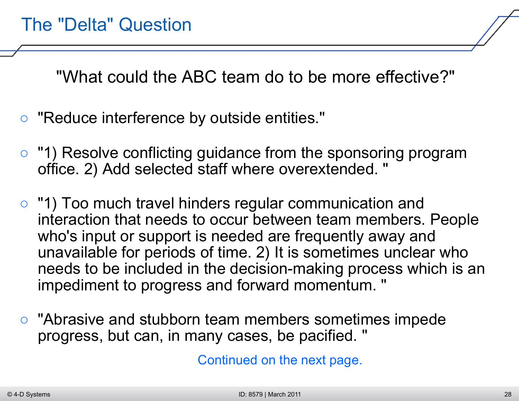"What could the ABC team do to be more effective?"

- *"Reduce interference by outside entities."*
- *"1) Resolve conflicting guidance from the sponsoring program office. 2) Add selected staff where overextended. "*
- *"1) Too much travel hinders regular communication and interaction that needs to occur between team members. People who's input or support is needed are frequently away and unavailable for periods of time. 2) It is sometimes unclear who needs to be included in the decision-making process which is an impediment to progress and forward momentum. "*
- *"Abrasive and stubborn team members sometimes impede progress, but can, in many cases, be pacified. "*

Continued on the next page.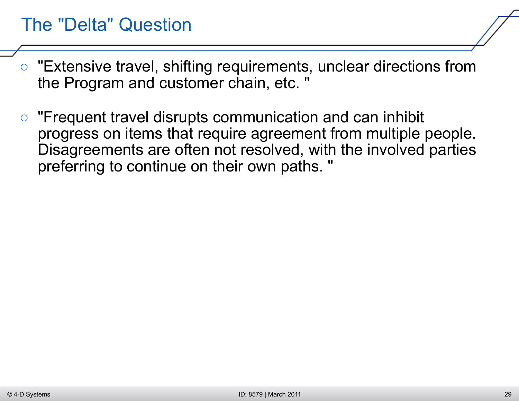#### The "Delta" Question

- *"Extensive travel, shifting requirements, unclear directions from the Program and customer chain, etc. "*
- *"Frequent travel disrupts communication and can inhibit progress on items that require agreement from multiple people. Disagreements are often not resolved, with the involved parties preferring to continue on their own paths. "*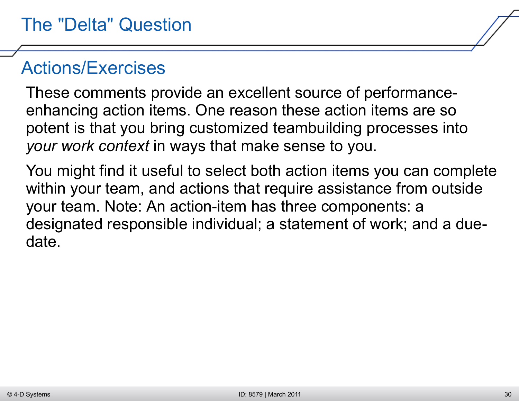These comments provide an excellent source of performanceenhancing action items. One reason these action items are so potent is that you bring customized teambuilding processes into *your work context* in ways that make sense to you.

You might find it useful to select both action items you can complete within your team, and actions that require assistance from outside your team. Note: An action-item has three components: a designated responsible individual; a statement of work; and a duedate.